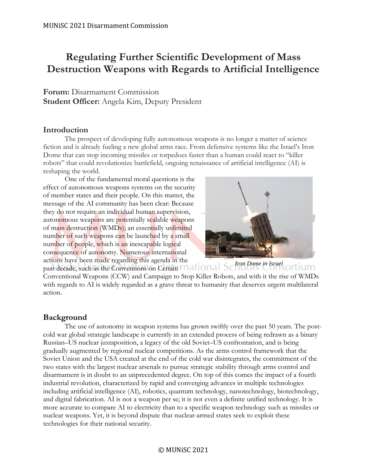# **Regulating Further Scientific Development of Mass Destruction Weapons with Regards to Artificial Intelligence**

**Forum:** Disarmament Commission **Student Officer:** Angela Kim, Deputy President

# **Introduction**

The prospect of developing fully autonomous weapons is no longer a matter of science fiction and is already fueling a new global arms race. From defensive systems like the Israel's Iron Dome that can stop incoming missiles or torpedoes faster than a human could react to "killer robots" that could revolutionize battlefield, ongoing renaissance of artificial intelligence (AI) is reshaping the world.

One of the fundamental moral questions is the effect of autonomous weapons systems on the security of member states and their people. On this matter, the message of the AI community has been clear: Because they do not require an individual human supervision, autonomous weapons are potentially scalable weapons of mass destruction (WMDs); an essentially unlimited number of such weapons can be launched by a small number of people, which is an inescapable logical consequence of autonomy. Numerous international actions have been made regarding this agenda in the



past decade, such as the Conventions on Certain *Iron Dome in Israel*Conventional Weapons (CCW) and Campaign to Stop Killer Robots, and with it the rise of WMDs with regards to AI is widely regarded as a grave threat to humanity that deserves urgent multilateral action.

# **Background**

The use of autonomy in weapon systems has grown swiftly over the past 50 years. The postcold war global strategic landscape is currently in an extended process of being redrawn as a binary Russian–US nuclear juxtaposition, a legacy of the old Soviet–US confrontation, and is being gradually augmented by regional nuclear competitions. As the arms control framework that the Soviet Union and the USA created at the end of the cold war disintegrates, the commitment of the two states with the largest nuclear arsenals to pursue strategic stability through arms control and disarmament is in doubt to an unprecedented degree. On top of this comes the impact of a fourth industrial revolution, characterized by rapid and converging advances in multiple technologies including artificial intelligence (AI), robotics, quantum technology, nanotechnology, biotechnology, and digital fabrication. AI is not a weapon per se; it is not even a definite unified technology. It is more accurate to compare AI to electricity than to a specific weapon technology such as missiles or nuclear weapons. Yet, it is beyond dispute that nuclear-armed states seek to exploit these technologies for their national security.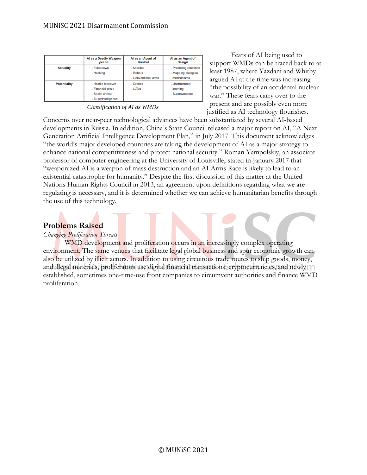|                     | Al as a Deadly Weapon<br>per se | Al as an Agent of<br>Control | Al as an Agent of<br><b>Desian</b> |
|---------------------|---------------------------------|------------------------------|------------------------------------|
| <b>Actuality</b>    | - Fake news                     | - Missiles                   | - Predicting reactions             |
|                     | - Hacking                       | - Robots                     | - Mapping biological               |
|                     |                                 | - Conventional arms          | mechanisms                         |
| <b>Potentiality</b> | - Hostile takeover              | - Drones                     | - Unstructured                     |
|                     | - Financial crisis              | - UAVs                       | learning                           |
|                     | - Social unrest                 |                              | - Superweapons                     |
|                     | - Superintelligence             |                              |                                    |

*Classification of AI as WMDs*

Fears of AI being used to support WMDs can be traced back to at least 1987, where Yazdani and Whitby argued AI at the time was increasing "the possibility of an accidental nuclear war." These fears carry over to the present and are possibly even more justified as AI technology flourishes.

Concerns over near-peer technological advances have been substantiated by several AI-based developments in Russia. In addition, China's State Council released a major report on AI, "A Next Generation Artificial Intelligence Development Plan," in July 2017. This document acknowledges "the world's major developed countries are taking the development of AI as a major strategy to enhance national competitiveness and protect national security." Roman Yampolskiy, an associate professor of computer engineering at the University of Louisville, stated in January 2017 that "weaponized AI is a weapon of mass destruction and an AI Arms Race is likely to lead to an existential catastrophe for humanity." Despite the first discussion of this matter at the United Nations Human Rights Council in 2013, an agreement upon definitions regarding what we are regulating is necessary, and it is determined whether we can achieve humanitarian benefits through the use of this technology.

# **Problems Raised**

### *Changing Proliferation Threats*

WMD development and proliferation occurs in an increasingly complex operating environment. The same venues that facilitate legal global business and spur economic growth can also be utilized by illicit actors. In addition to using circuitous trade routes to ship goods, money, and illegal materials, proliferators use digital financial transactions, cryptocurrencies, and newly established, sometimes one-time-use front companies to circumvent authorities and finance WMD proliferation.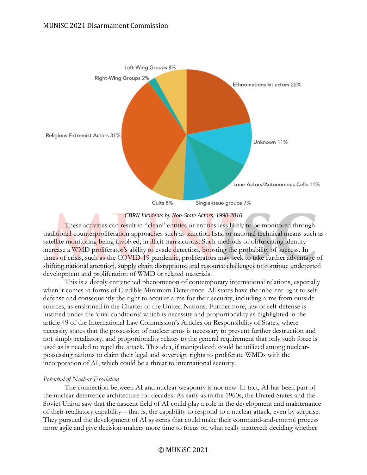



These activities can result in "clean" entities or entities less likely to be monitored through traditional counterproliferation approaches such as sanction lists, or national technical means such as satellite monitoring being involved, in illicit transactions. Such methods of obfuscating identity increase a WMD proliferator's ability to evade detection, boosting the probability of success. In times of crisis, such as the COVID-19 pandemic, proliferators may seek to take further advantage of shifting national attention, supply chain disruptions, and resource challenges to continue undetected development and proliferation of WMD or related materials.

This is a deeply entrenched phenomenon of contemporary international relations, especially when it comes in forms of Credible Minimum Deterrence. All states have the inherent right to selfdefense and consequently the right to acquire arms for their security, including arms from outside sources, as enshrined in the Charter of the United Nations. Furthermore, law of self-defense is justified under the 'dual conditions' which is necessity and proportionality as highlighted in the article 49 of the International Law Commission's Articles on Responsibility of States, where necessity states that the possession of nuclear arms is necessary to prevent further destruction and not simply retaliatory, and proportionality relates to the general requirement that only such force is used as is needed to repel the attack. This idea, if manipulated, could be utilized among nuclearpossessing nations to claim their legal and sovereign rights to proliferate WMDs with the incorporation of AI, which could be a threat to international security.

### *Potential of Nuclear Escalation*

The connection between AI and nuclear weaponry is not new. In fact, AI has been part of the nuclear deterrence architecture for decades. As early as in the 1960s, the United States and the Soviet Union saw that the nascent field of AI could play a role in the development and maintenance of their retaliatory capability—that is, the capability to respond to a nuclear attack, even by surprise. They pursued the development of AI systems that could make their command-and-control process more agile and give decision-makers more time to focus on what really mattered: deciding whether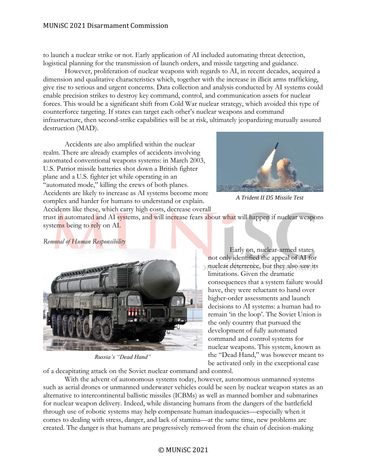### MUNiSC 2021 Disarmament Commission

to launch a nuclear strike or not. Early application of AI included automating threat detection, logistical planning for the transmission of launch orders, and missile targeting and guidance.

However, proliferation of nuclear weapons with regards to AI, in recent decades, acquired a dimension and qualitative characteristics which, together with the increase in illicit arms trafficking, give rise to serious and urgent concerns. Data collection and analysis conducted by AI systems could enable precision strikes to destroy key command, control, and communication assets for nuclear forces. This would be a significant shift from Cold War nuclear strategy, which avoided this type of counterforce targeting. If states can target each other's nuclear weapons and command infrastructure, then second-strike capabilities will be at risk, ultimately jeopardizing mutually assured destruction (MAD).

Accidents are also amplified within the nuclear realm. There are already examples of accidents involving automated conventional weapons systems: in March 2003, U.S. Patriot missile batteries shot down a British fighter plane and a U.S. fighter jet while operating in an "automated mode," killing the crews of both planes. Accidents are likely to increase as AI systems become more complex and harder for humans to understand or explain. Accidents like these, which carry high costs, decrease overall



*A Trident II D5 Missile Test*

trust in automated and AI systems, and will increase fears about what will happen if nuclear weapons systems being to rely on AI.

*Removal of Human Responsibility*



*Russia's "Dead Hand"*

Early on, nuclear-armed states not only identified the appeal of AI for nuclear deterrence, but they also saw its limitations. Given the dramatic consequences that a system failure would have, they were reluctant to hand over higher-order assessments and launch decisions to AI systems: a human had to remain 'in the loop'. The Soviet Union is the only country that pursued the development of fully automated command and control systems for nuclear weapons. This system, known as the "Dead Hand," was however meant to be activated only in the exceptional case

of a decapitating attack on the Soviet nuclear command and control.

With the advent of autonomous systems today, however, autonomous unmanned systems such as aerial drones or unmanned underwater vehicles could be seen by nuclear weapon states as an alternative to intercontinental ballistic missiles (ICBMs) as well as manned bomber and submarines for nuclear weapon delivery. Indeed, while distancing humans from the dangers of the battlefield through use of robotic systems may help compensate human inadequacies—especially when it comes to dealing with stress, danger, and lack of stamina—at the same time, new problems are created. The danger is that humans are progressively removed from the chain of decision-making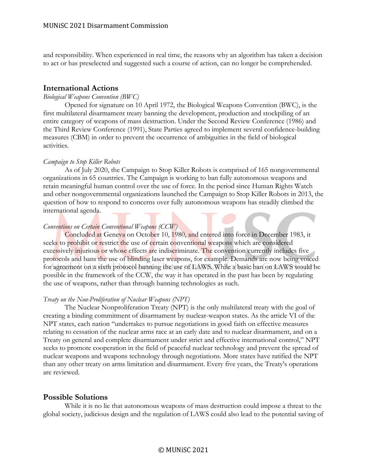and responsibility. When experienced in real time, the reasons why an algorithm has taken a decision to act or has preselected and suggested such a course of action, can no longer be comprehended.

### **International Actions**

#### *Biological Weapons Convention (BWC)*

Opened for signature on 10 April 1972, the Biological Weapons Convention (BWC), is the first multilateral disarmament treaty banning the development, production and stockpiling of an entire category of weapons of mass destruction. Under the Second Review Conference (1986) and the Third Review Conference (1991), State Parties agreed to implement several confidence-building measures (CBM) in order to prevent the occurrence of ambiguities in the field of biological activities.

#### *Campaign to Stop Killer Robots*

As of July 2020, the Campaign to Stop Killer Robots is comprised of 165 nongovernmental organizations in 65 countries. The Campaign is working to ban fully autonomous weapons and retain meaningful human control over the use of force. In the period since Human Rights Watch and other nongovernmental organizations launched the Campaign to Stop Killer Robots in 2013, the question of how to respond to concerns over fully autonomous weapons has steadily climbed the international agenda.

#### *Conventions on Certain Conventional Weapons (CCW)*

Concluded at Geneva on October 10, 1980, and entered into force in December 1983, it seeks to prohibit or restrict the use of certain conventional weapons which are considered excessively injurious or whose effects are indiscriminate. The convention currently includes five protocols and bans the use of blinding laser weapons, for example. Demands are now being voiced for agreement on a sixth protocol banning the use of LAWS. While a basic ban on LAWS would be possible in the framework of the CCW, the way it has operated in the past has been by regulating the use of weapons, rather than through banning technologies as such.

#### *Treaty on the Non-Proliferation of Nuclear Weapons (NPT)*

The Nuclear Nonproliferation Treaty (NPT) is the only multilateral treaty with the goal of creating a binding commitment of disarmament by nuclear-weapon states. As the article VI of the NPT states, each nation "undertakes to pursue negotiations in good faith on effective measures relating to cessation of the nuclear arms race at an early date and to nuclear disarmament, and on a Treaty on general and complete disarmament under strict and effective international control," NPT seeks to promote cooperation in the field of peaceful nuclear technology and prevent the spread of nuclear weapons and weapons technology through negotiations. More states have ratified the NPT than any other treaty on arms limitation and disarmament. Every five years, the Treaty's operations are reviewed.

## **Possible Solutions**

While it is no lie that autonomous weapons of mass destruction could impose a threat to the global society, judicious design and the regulation of LAWS could also lead to the potential saving of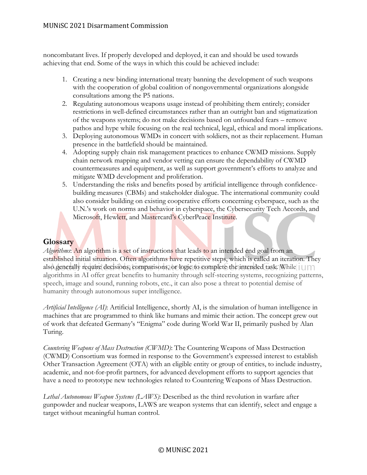# MUNiSC 2021 Disarmament Commission

noncombatant lives. If properly developed and deployed, it can and should be used towards achieving that end. Some of the ways in which this could be achieved include:

- 1. Creating a new binding international treaty banning the development of such weapons with the cooperation of global coalition of nongovernmental organizations alongside consultations among the P5 nations.
- 2. Regulating autonomous weapons usage instead of prohibiting them entirely; consider restrictions in well-defined circumstances rather than an outright ban and stigmatization of the weapons systems; do not make decisions based on unfounded fears – remove pathos and hype while focusing on the real technical, legal, ethical and moral implications.
- 3. Deploying autonomous WMDs in concert with soldiers, not as their replacement. Human presence in the battlefield should be maintained.
- 4. Adopting supply chain risk management practices to enhance CWMD missions. Supply chain network mapping and vendor vetting can ensure the dependability of CWMD countermeasures and equipment, as well as support government's efforts to analyze and mitigate WMD development and proliferation.
- 5. Understanding the risks and benefits posed by artificial intelligence through confidencebuilding measures (CBMs) and stakeholder dialogue. The international community could also consider building on existing cooperative efforts concerning cyberspace, such as the U.N.'s work on norms and behavior in cyberspace, the Cybersecurity Tech Accords, and Microsoft, Hewlett, and Mastercard's CyberPeace Institute.

# **Glossary**

*Algorithms*: An algorithm is a set of instructions that leads to an intended end goal from an established initial situation. Often algorithms have repetitive steps, which is called an iteration. They also generally require decisions, comparisons, or logic to complete the intended task. While | U | | | algorithms in AI offer great benefits to humanity through self-steering systems, recognizing patterns, speech, image and sound, running robots, etc., it can also pose a threat to potential demise of humanity through autonomous super intelligence.

*Artificial Intelligence (AI)*: Artificial Intelligence, shortly AI, is the simulation of human intelligence in machines that are programmed to think like humans and mimic their action. The concept grew out of work that defeated Germany's "Enigma" code during World War II, primarily pushed by Alan Turing.

*Countering Weapons of Mass Destruction (CWMD)*: The Countering Weapons of Mass Destruction (CWMD) Consortium was formed in response to the Government's expressed interest to establish Other Transaction Agreement (OTA) with an eligible entity or group of entities, to include industry, academic, and not-for-profit partners, for advanced development efforts to support agencies that have a need to prototype new technologies related to Countering Weapons of Mass Destruction.

*Lethal Autonomous Weapon Systems (LAWS)*: Described as the third revolution in warfare after gunpowder and nuclear weapons, LAWS are weapon systems that can identify, select and engage a target without meaningful human control.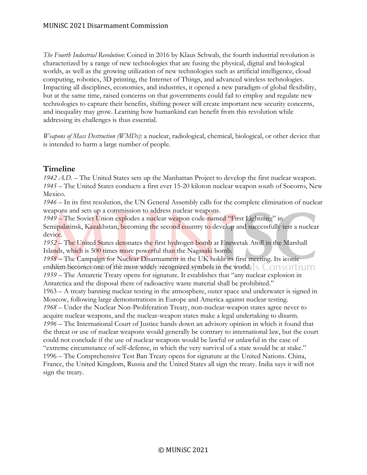*The Fourth Industrial Revolution*: Coined in 2016 by Klaus Schwab, the fourth industrial revolution is characterized by a range of new technologies that are fusing the physical, digital and biological worlds, as well as the growing utilization of new technologies such as artificial intelligence, cloud computing, robotics, 3D printing, the Internet of Things, and advanced wireless technologies. Impacting all disciplines, economies, and industries, it opened a new paradigm of global flexibility, but at the same time, raised concerns on that governments could fail to employ and regulate new technologies to capture their benefits, shifting power will create important new security concerns, and inequality may grow. Learning how humankind can benefit from this revolution while addressing its challenges is thus essential.

*Weapons of Mass Destruction (WMDs)*: a nuclear, radiological, chemical, biological, or other device that is intended to harm a large number of people.

# **Timeline**

1942 A.D. – The United States sets up the Manhattan Project to develop the first nuclear weapon. *1945* – The United States conducts a first ever 15-20 kiloton nuclear weapon south of Socorro, New Mexico.

*1946* – In its first resolution, the UN General Assembly calls for the complete elimination of nuclear weapons and sets up a commission to address nuclear weapons.

*1949* – The Soviet Union explodes a nuclear weapon code-named "First Lightning" in Semipalatinsk, Kazakhstan, becoming the second country to develop and successfully test a nuclear device.

*1952* – The United States detonates the first hydrogen bomb at Enewetak Atoll in the Marshall Islands, which is 500 times more powerful than the Nagasaki bomb.

*1958* – The Campaign for Nuclear Disarmament in the UK holds its first meeting. Its iconic emblem becomes one of the most widely recognized symbols in the world. S CONSOLUM *1959* – The Antarctic Treaty opens for signature. It establishes that "any nuclear explosion in Antarctica and the disposal there of radioactive waste material shall be prohibited." 1963 – A treaty banning nuclear testing in the atmosphere, outer space and underwater is signed in Moscow, following large demonstrations in Europe and America against nuclear testing. *1968* – Under the Nuclear Non-Proliferation Treaty, non-nuclear-weapon states agree never to acquire nuclear weapons, and the nuclear-weapon states make a legal undertaking to disarm. *1996* – The International Court of Justice hands down an advisory opinion in which it found that the threat or use of nuclear weapons would generally be contrary to international law, but the court could not conclude if the use of nuclear weapons would be lawful or unlawful in the case of "extreme circumstance of self-defense, in which the very survival of a state would be at stake." 1996 – The Comprehensive Test Ban Treaty opens for signature at the United Nations. China, France, the United Kingdom, Russia and the United States all sign the treaty. India says it will not sign the treaty.